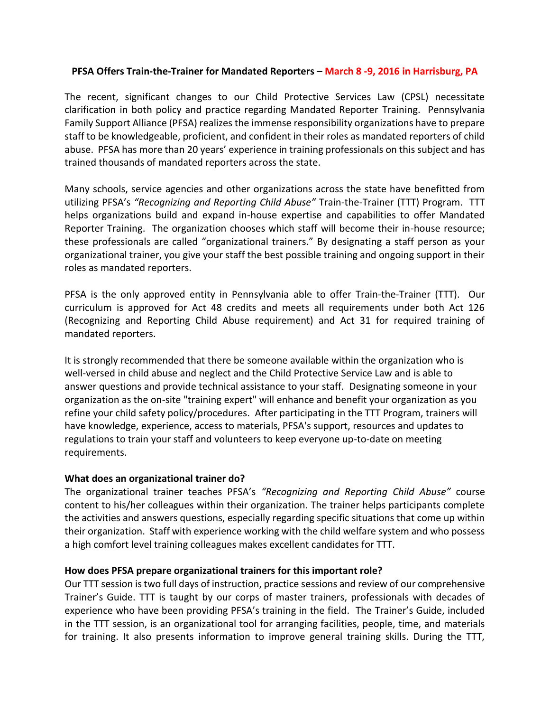### **PFSA Offers Train-the-Trainer for Mandated Reporters – March 8 -9, 2016 in Harrisburg, PA**

The recent, significant changes to our Child Protective Services Law (CPSL) necessitate clarification in both policy and practice regarding Mandated Reporter Training. Pennsylvania Family Support Alliance (PFSA) realizes the immense responsibility organizations have to prepare staff to be knowledgeable, proficient, and confident in their roles as mandated reporters of child abuse. PFSA has more than 20 years' experience in training professionals on this subject and has trained thousands of mandated reporters across the state.

Many schools, service agencies and other organizations across the state have benefitted from utilizing PFSA's *"Recognizing and Reporting Child Abuse"* Train-the-Trainer (TTT) Program. TTT helps organizations build and expand in-house expertise and capabilities to offer Mandated Reporter Training. The organization chooses which staff will become their in-house resource; these professionals are called "organizational trainers." By designating a staff person as your organizational trainer, you give your staff the best possible training and ongoing support in their roles as mandated reporters.

PFSA is the only approved entity in Pennsylvania able to offer Train-the-Trainer (TTT). Our curriculum is approved for Act 48 credits and meets all requirements under both Act 126 (Recognizing and Reporting Child Abuse requirement) and Act 31 for required training of mandated reporters.

It is strongly recommended that there be someone available within the organization who is well-versed in child abuse and neglect and the Child Protective Service Law and is able to answer questions and provide technical assistance to your staff. Designating someone in your organization as the on-site "training expert" will enhance and benefit your organization as you refine your child safety policy/procedures. After participating in the TTT Program, trainers will have knowledge, experience, access to materials, PFSA's support, resources and updates to regulations to train your staff and volunteers to keep everyone up-to-date on meeting requirements.

#### **What does an organizational trainer do?**

The organizational trainer teaches PFSA's *"Recognizing and Reporting Child Abuse"* course content to his/her colleagues within their organization. The trainer helps participants complete the activities and answers questions, especially regarding specific situations that come up within their organization. Staff with experience working with the child welfare system and who possess a high comfort level training colleagues makes excellent candidates for TTT.

### **How does PFSA prepare organizational trainers for this important role?**

Our TTT session is two full days of instruction, practice sessions and review of our comprehensive Trainer's Guide. TTT is taught by our corps of master trainers, professionals with decades of experience who have been providing PFSA's training in the field. The Trainer's Guide, included in the TTT session, is an organizational tool for arranging facilities, people, time, and materials for training. It also presents information to improve general training skills. During the TTT,